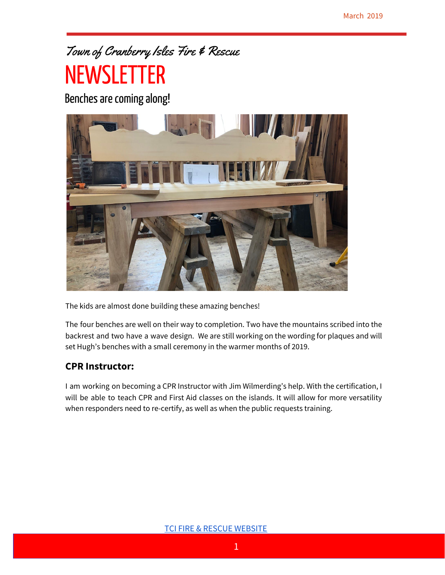# Town of Cranberry Isles Fire & Rescue

# **NEWSLETTER**

Benches are coming along!



The kids are almost done building these amazing benches!

The four benches are well on their way to completion. Two have the mountains scribed into the backrest and two have a wave design. We are still working on the wording for plaques and will set Hugh's benches with a small ceremony in the warmer months of 2019.

#### **CPR Instructor:**

I am working on becoming a CPR Instructor with Jim Wilmerding's help. With the certification, I will be able to teach CPR and First Aid classes on the islands. It will allow for more versatility when responders need to re-certify, as well as when the public requests training.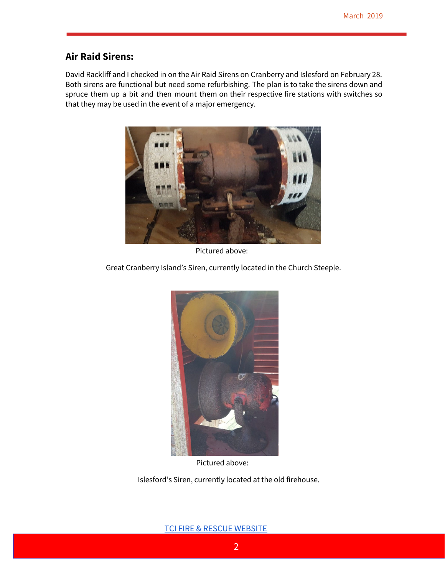#### **Air Raid Sirens:**

David Rackliff and I checked in on the Air Raid Sirens on Cranberry and Islesford on February 28. Both sirens are functional but need some refurbishing. The plan is to take the sirens down and spruce them up a bit and then mount them on their respective fire stations with switches so that they may be used in the event of a major emergency.



Pictured above:

Great Cranberry Island's Siren, currently located in the Church Steeple.



Pictured above:

Islesford's Siren, currently located at the old firehouse.

TCI FIRE & RESCUE [WEBSITE](https://sites.google.com/tcipublicsafety.org/publicsafety/home?authuser=1)